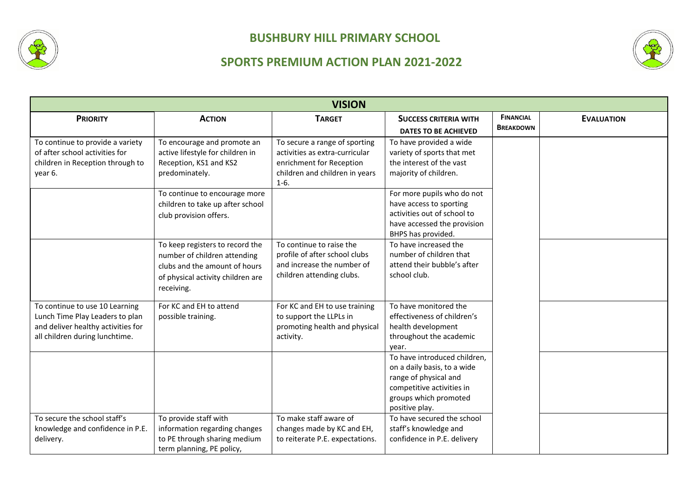



|                                                                                                                                           |                                                                                                                                                     | <b>VISION</b>                                                                                                                           |                                                                                                                                                              |                                      |                   |
|-------------------------------------------------------------------------------------------------------------------------------------------|-----------------------------------------------------------------------------------------------------------------------------------------------------|-----------------------------------------------------------------------------------------------------------------------------------------|--------------------------------------------------------------------------------------------------------------------------------------------------------------|--------------------------------------|-------------------|
| <b>PRIORITY</b>                                                                                                                           | <b>ACTION</b>                                                                                                                                       | <b>TARGET</b>                                                                                                                           | <b>SUCCESS CRITERIA WITH</b><br><b>DATES TO BE ACHIEVED</b>                                                                                                  | <b>FINANCIAL</b><br><b>BREAKDOWN</b> | <b>EVALUATION</b> |
| To continue to provide a variety<br>of after school activities for<br>children in Reception through to<br>year 6.                         | To encourage and promote an<br>active lifestyle for children in<br>Reception, KS1 and KS2<br>predominately.                                         | To secure a range of sporting<br>activities as extra-curricular<br>enrichment for Reception<br>children and children in years<br>$1-6.$ | To have provided a wide<br>variety of sports that met<br>the interest of the vast<br>majority of children.                                                   |                                      |                   |
|                                                                                                                                           | To continue to encourage more<br>children to take up after school<br>club provision offers.                                                         |                                                                                                                                         | For more pupils who do not<br>have access to sporting<br>activities out of school to<br>have accessed the provision<br>BHPS has provided.                    |                                      |                   |
|                                                                                                                                           | To keep registers to record the<br>number of children attending<br>clubs and the amount of hours<br>of physical activity children are<br>receiving. | To continue to raise the<br>profile of after school clubs<br>and increase the number of<br>children attending clubs.                    | To have increased the<br>number of children that<br>attend their bubble's after<br>school club.                                                              |                                      |                   |
| To continue to use 10 Learning<br>Lunch Time Play Leaders to plan<br>and deliver healthy activities for<br>all children during lunchtime. | For KC and EH to attend<br>possible training.                                                                                                       | For KC and EH to use training<br>to support the LLPLs in<br>promoting health and physical<br>activity.                                  | To have monitored the<br>effectiveness of children's<br>health development<br>throughout the academic<br>year.                                               |                                      |                   |
|                                                                                                                                           |                                                                                                                                                     |                                                                                                                                         | To have introduced children,<br>on a daily basis, to a wide<br>range of physical and<br>competitive activities in<br>groups which promoted<br>positive play. |                                      |                   |
| To secure the school staff's<br>knowledge and confidence in P.E.<br>delivery.                                                             | To provide staff with<br>information regarding changes<br>to PE through sharing medium<br>term planning, PE policy,                                 | To make staff aware of<br>changes made by KC and EH,<br>to reiterate P.E. expectations.                                                 | To have secured the school<br>staff's knowledge and<br>confidence in P.E. delivery                                                                           |                                      |                   |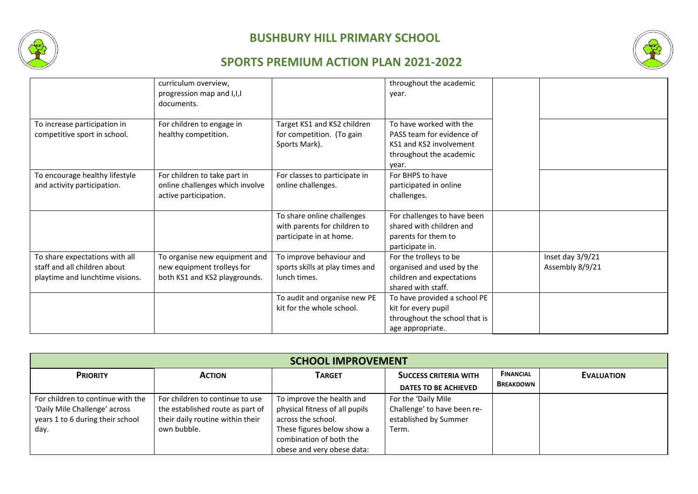



|                                                                                                   | curriculum overview,<br>progression map and I, I, I<br>documents.                            |                                                                                       | throughout the academic<br>year.                                                                                    |                                     |
|---------------------------------------------------------------------------------------------------|----------------------------------------------------------------------------------------------|---------------------------------------------------------------------------------------|---------------------------------------------------------------------------------------------------------------------|-------------------------------------|
| To increase participation in<br>competitive sport in school.                                      | For children to engage in<br>healthy competition.                                            | Target KS1 and KS2 children<br>for competition. (To gain<br>Sports Mark).             | To have worked with the<br>PASS team for evidence of<br>KS1 and KS2 involvement<br>throughout the academic<br>year. |                                     |
| To encourage healthy lifestyle<br>and activity participation.                                     | For children to take part in<br>online challenges which involve<br>active participation.     | For classes to participate in<br>online challenges.                                   | For BHPS to have<br>participated in online<br>challenges.                                                           |                                     |
|                                                                                                   |                                                                                              | To share online challenges<br>with parents for children to<br>participate in at home. | For challenges to have been<br>shared with children and<br>parents for them to<br>participate in.                   |                                     |
| To share expectations with all<br>staff and all children about<br>playtime and lunchtime visions. | To organise new equipment and<br>new equipment trolleys for<br>both KS1 and KS2 playgrounds. | To improve behaviour and<br>sports skills at play times and<br>lunch times.           | For the trolleys to be<br>organised and used by the<br>children and expectations<br>shared with staff.              | Inset day 3/9/21<br>Assembly 8/9/21 |
|                                                                                                   |                                                                                              | To audit and organise new PE<br>kit for the whole school.                             | To have provided a school PE<br>kit for every pupil<br>throughout the school that is<br>age appropriate.            |                                     |

| <b>SCHOOL IMPROVEMENT</b>                                                                                      |                                                                                                                        |                                                                                                                                                                          |                                                                                      |                                      |                   |
|----------------------------------------------------------------------------------------------------------------|------------------------------------------------------------------------------------------------------------------------|--------------------------------------------------------------------------------------------------------------------------------------------------------------------------|--------------------------------------------------------------------------------------|--------------------------------------|-------------------|
| <b>PRIORITY</b>                                                                                                | <b>ACTION</b>                                                                                                          | <b>TARGET</b>                                                                                                                                                            | <b>SUCCESS CRITERIA WITH</b><br><b>DATES TO BE ACHIEVED</b>                          | <b>FINANCIAL</b><br><b>BREAKDOWN</b> | <b>EVALUATION</b> |
| For children to continue with the<br>'Daily Mile Challenge' across<br>years 1 to 6 during their school<br>day. | For children to continue to use<br>the established route as part of<br>their daily routine within their<br>own bubble. | To improve the health and<br>physical fitness of all pupils<br>across the school.<br>These figures below show a<br>combination of both the<br>obese and very obese data: | For the 'Daily Mile<br>Challenge' to have been re-<br>established by Summer<br>Term. |                                      |                   |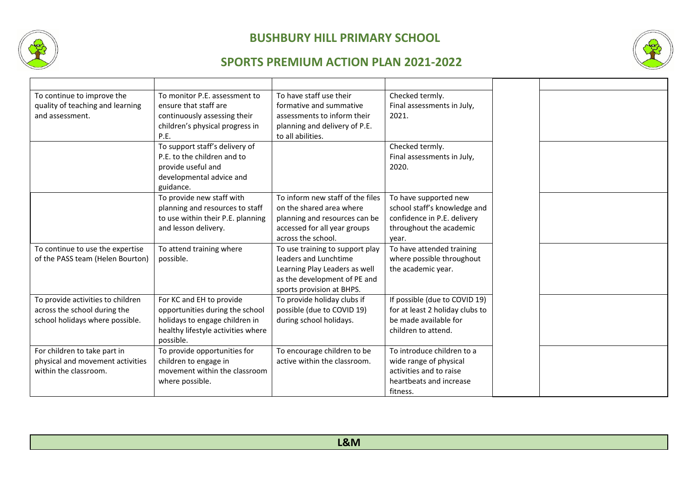



| To continue to improve the        | To monitor P.E. assessment to      | To have staff use their          | Checked termly.                 |
|-----------------------------------|------------------------------------|----------------------------------|---------------------------------|
| quality of teaching and learning  | ensure that staff are              | formative and summative          | Final assessments in July,      |
| and assessment.                   | continuously assessing their       | assessments to inform their      | 2021.                           |
|                                   | children's physical progress in    | planning and delivery of P.E.    |                                 |
|                                   | P.E.                               | to all abilities.                |                                 |
|                                   | To support staff's delivery of     |                                  | Checked termly.                 |
|                                   | P.E. to the children and to        |                                  | Final assessments in July,      |
|                                   | provide useful and                 |                                  | 2020.                           |
|                                   | developmental advice and           |                                  |                                 |
|                                   | guidance.                          |                                  |                                 |
|                                   | To provide new staff with          | To inform new staff of the files | To have supported new           |
|                                   | planning and resources to staff    | on the shared area where         | school staff's knowledge and    |
|                                   | to use within their P.E. planning  | planning and resources can be    | confidence in P.E. delivery     |
|                                   | and lesson delivery.               | accessed for all year groups     | throughout the academic         |
|                                   |                                    | across the school.               | year.                           |
| To continue to use the expertise  | To attend training where           | To use training to support play  | To have attended training       |
| of the PASS team (Helen Bourton)  | possible.                          | leaders and Lunchtime            | where possible throughout       |
|                                   |                                    | Learning Play Leaders as well    | the academic year.              |
|                                   |                                    | as the development of PE and     |                                 |
|                                   |                                    | sports provision at BHPS.        |                                 |
| To provide activities to children | For KC and EH to provide           | To provide holiday clubs if      | If possible (due to COVID 19)   |
| across the school during the      | opportunities during the school    | possible (due to COVID 19)       | for at least 2 holiday clubs to |
| school holidays where possible.   | holidays to engage children in     | during school holidays.          | be made available for           |
|                                   | healthy lifestyle activities where |                                  | children to attend.             |
|                                   | possible.                          |                                  |                                 |
| For children to take part in      | To provide opportunities for       | To encourage children to be      | To introduce children to a      |
| physical and movement activities  | children to engage in              | active within the classroom.     | wide range of physical          |
| within the classroom.             | movement within the classroom      |                                  | activities and to raise         |
|                                   | where possible.                    |                                  | heartbeats and increase         |
|                                   |                                    |                                  | fitness.                        |

| L&M |
|-----|
|     |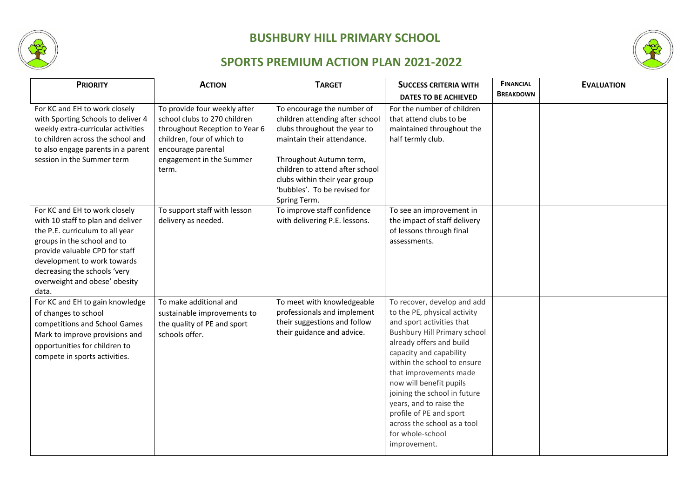



| <b>PRIORITY</b>                                                                                                                                                                                                                                                                 | <b>ACTION</b>                                                                                                                                                                           | <b>TARGET</b>                                                                                                                                                                                                                                                              | <b>SUCCESS CRITERIA WITH</b>                                                                                                                                                                                                                                                                                                                                                                                                        | <b>FINANCIAL</b> | <b>EVALUATION</b> |
|---------------------------------------------------------------------------------------------------------------------------------------------------------------------------------------------------------------------------------------------------------------------------------|-----------------------------------------------------------------------------------------------------------------------------------------------------------------------------------------|----------------------------------------------------------------------------------------------------------------------------------------------------------------------------------------------------------------------------------------------------------------------------|-------------------------------------------------------------------------------------------------------------------------------------------------------------------------------------------------------------------------------------------------------------------------------------------------------------------------------------------------------------------------------------------------------------------------------------|------------------|-------------------|
|                                                                                                                                                                                                                                                                                 |                                                                                                                                                                                         |                                                                                                                                                                                                                                                                            | <b>DATES TO BE ACHIEVED</b>                                                                                                                                                                                                                                                                                                                                                                                                         | <b>BREAKDOWN</b> |                   |
| For KC and EH to work closely<br>with Sporting Schools to deliver 4<br>weekly extra-curricular activities<br>to children across the school and<br>to also engage parents in a parent<br>session in the Summer term                                                              | To provide four weekly after<br>school clubs to 270 children<br>throughout Reception to Year 6<br>children, four of which to<br>encourage parental<br>engagement in the Summer<br>term. | To encourage the number of<br>children attending after school<br>clubs throughout the year to<br>maintain their attendance.<br>Throughout Autumn term,<br>children to attend after school<br>clubs within their year group<br>'bubbles'. To be revised for<br>Spring Term. | For the number of children<br>that attend clubs to be<br>maintained throughout the<br>half termly club.                                                                                                                                                                                                                                                                                                                             |                  |                   |
| For KC and EH to work closely<br>with 10 staff to plan and deliver<br>the P.E. curriculum to all year<br>groups in the school and to<br>provide valuable CPD for staff<br>development to work towards<br>decreasing the schools 'very<br>overweight and obese' obesity<br>data. | To support staff with lesson<br>delivery as needed.                                                                                                                                     | To improve staff confidence<br>with delivering P.E. lessons.                                                                                                                                                                                                               | To see an improvement in<br>the impact of staff delivery<br>of lessons through final<br>assessments.                                                                                                                                                                                                                                                                                                                                |                  |                   |
| For KC and EH to gain knowledge<br>of changes to school<br>competitions and School Games<br>Mark to improve provisions and<br>opportunities for children to<br>compete in sports activities.                                                                                    | To make additional and<br>sustainable improvements to<br>the quality of PE and sport<br>schools offer.                                                                                  | To meet with knowledgeable<br>professionals and implement<br>their suggestions and follow<br>their guidance and advice.                                                                                                                                                    | To recover, develop and add<br>to the PE, physical activity<br>and sport activities that<br><b>Bushbury Hill Primary school</b><br>already offers and build<br>capacity and capability<br>within the school to ensure<br>that improvements made<br>now will benefit pupils<br>joining the school in future<br>years, and to raise the<br>profile of PE and sport<br>across the school as a tool<br>for whole-school<br>improvement. |                  |                   |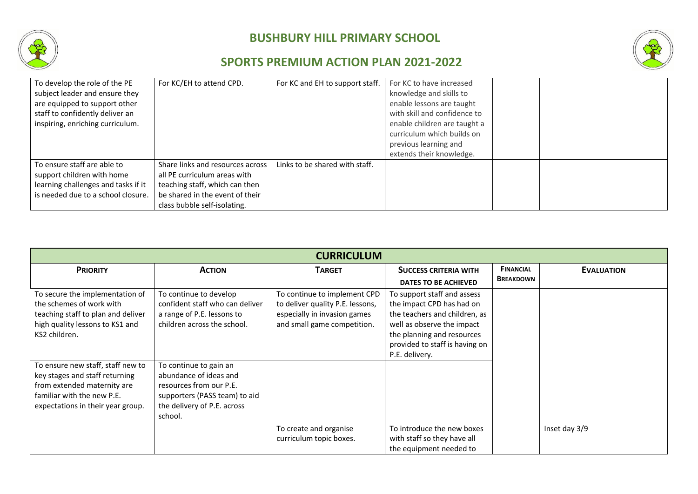



| To develop the role of the PE<br>subject leader and ensure they | For KC/EH to attend CPD.         | For KC and EH to support staff. | For KC to have increased<br>knowledge and skills to |  |
|-----------------------------------------------------------------|----------------------------------|---------------------------------|-----------------------------------------------------|--|
| are equipped to support other                                   |                                  |                                 | enable lessons are taught                           |  |
| staff to confidently deliver an                                 |                                  |                                 | with skill and confidence to                        |  |
| inspiring, enriching curriculum.                                |                                  |                                 | enable children are taught a                        |  |
|                                                                 |                                  |                                 | curriculum which builds on                          |  |
|                                                                 |                                  |                                 | previous learning and                               |  |
|                                                                 |                                  |                                 | extends their knowledge.                            |  |
| To ensure staff are able to                                     | Share links and resources across | Links to be shared with staff.  |                                                     |  |
| support children with home                                      | all PE curriculum areas with     |                                 |                                                     |  |
| learning challenges and tasks if it                             | teaching staff, which can then   |                                 |                                                     |  |
| is needed due to a school closure.                              | be shared in the event of their  |                                 |                                                     |  |
|                                                                 | class bubble self-isolating.     |                                 |                                                     |  |

| <b>CURRICULUM</b>                  |                                 |                                  |                                |                  |                   |
|------------------------------------|---------------------------------|----------------------------------|--------------------------------|------------------|-------------------|
| <b>PRIORITY</b>                    | <b>ACTION</b>                   | <b>TARGET</b>                    | <b>SUCCESS CRITERIA WITH</b>   | <b>FINANCIAL</b> | <b>EVALUATION</b> |
|                                    |                                 |                                  | <b>DATES TO BE ACHIEVED</b>    | <b>BREAKDOWN</b> |                   |
| To secure the implementation of    | To continue to develop          | To continue to implement CPD     | To support staff and assess    |                  |                   |
| the schemes of work with           | confident staff who can deliver | to deliver quality P.E. lessons, | the impact CPD has had on      |                  |                   |
| teaching staff to plan and deliver | a range of P.E. lessons to      | especially in invasion games     | the teachers and children, as  |                  |                   |
| high quality lessons to KS1 and    | children across the school.     | and small game competition.      | well as observe the impact     |                  |                   |
| KS2 children.                      |                                 |                                  | the planning and resources     |                  |                   |
|                                    |                                 |                                  | provided to staff is having on |                  |                   |
|                                    |                                 |                                  | P.E. delivery.                 |                  |                   |
| To ensure new staff, staff new to  | To continue to gain an          |                                  |                                |                  |                   |
| key stages and staff returning     | abundance of ideas and          |                                  |                                |                  |                   |
| from extended maternity are        | resources from our P.E.         |                                  |                                |                  |                   |
| familiar with the new P.E.         | supporters (PASS team) to aid   |                                  |                                |                  |                   |
| expectations in their year group.  | the delivery of P.E. across     |                                  |                                |                  |                   |
|                                    | school.                         |                                  |                                |                  |                   |
|                                    |                                 | To create and organise           | To introduce the new boxes     |                  | Inset day 3/9     |
|                                    |                                 | curriculum topic boxes.          | with staff so they have all    |                  |                   |
|                                    |                                 |                                  | the equipment needed to        |                  |                   |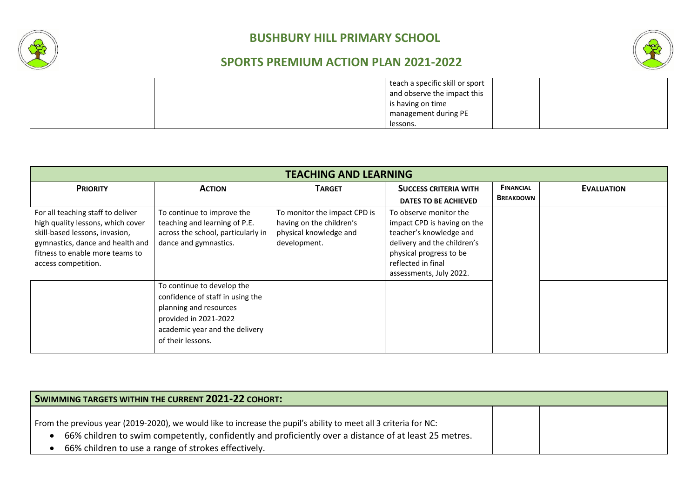



| teach a specific skill or sport |  |
|---------------------------------|--|
| and observe the impact this     |  |
| is having on time               |  |
| management during PE            |  |
| lessons.                        |  |

| <b>TEACHING AND LEARNING</b>                                                                                                                                                                           |                                                                                                                                                                          |                                                                                                    |                                                                                                                                                                                             |                                      |                   |  |
|--------------------------------------------------------------------------------------------------------------------------------------------------------------------------------------------------------|--------------------------------------------------------------------------------------------------------------------------------------------------------------------------|----------------------------------------------------------------------------------------------------|---------------------------------------------------------------------------------------------------------------------------------------------------------------------------------------------|--------------------------------------|-------------------|--|
| <b>PRIORITY</b>                                                                                                                                                                                        | <b>ACTION</b>                                                                                                                                                            | <b>TARGET</b>                                                                                      | <b>SUCCESS CRITERIA WITH</b><br>DATES TO BE ACHIEVED                                                                                                                                        | <b>FINANCIAL</b><br><b>BREAKDOWN</b> | <b>EVALUATION</b> |  |
| For all teaching staff to deliver<br>high quality lessons, which cover<br>skill-based lessons, invasion,<br>gymnastics, dance and health and<br>fitness to enable more teams to<br>access competition. | To continue to improve the<br>teaching and learning of P.E.<br>across the school, particularly in<br>dance and gymnastics.                                               | To monitor the impact CPD is<br>having on the children's<br>physical knowledge and<br>development. | To observe monitor the<br>impact CPD is having on the<br>teacher's knowledge and<br>delivery and the children's<br>physical progress to be<br>reflected in final<br>assessments, July 2022. |                                      |                   |  |
|                                                                                                                                                                                                        | To continue to develop the<br>confidence of staff in using the<br>planning and resources<br>provided in 2021-2022<br>academic year and the delivery<br>of their lessons. |                                                                                                    |                                                                                                                                                                                             |                                      |                   |  |

| SWIMMING TARGETS WITHIN THE CURRENT 2021-22 COHORT:                                                                                                                                                                                                                              |  |  |  |  |  |
|----------------------------------------------------------------------------------------------------------------------------------------------------------------------------------------------------------------------------------------------------------------------------------|--|--|--|--|--|
| From the previous year (2019-2020), we would like to increase the pupil's ability to meet all 3 criteria for NC:<br>66% children to swim competently, confidently and proficiently over a distance of at least 25 metres.<br>66% children to use a range of strokes effectively. |  |  |  |  |  |